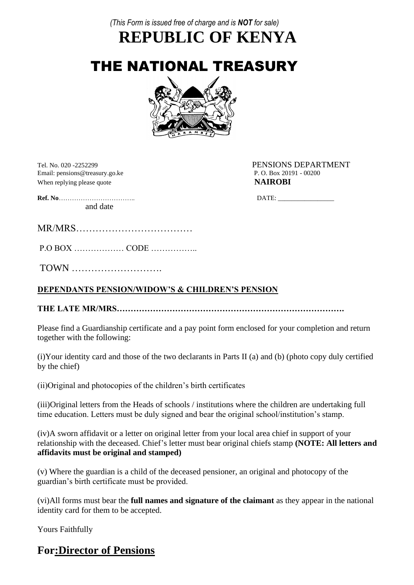*(This Form is issued free of charge and is NOT for sale)*

**REPUBLIC OF KENYA**

THE NATIONAL TREASURY



Email: pensions@treasury.go.ke P. O. Box 20191 - 00200 When replying please quote **NAIROBI** 

Tel. No. 020 -2252299 PENSIONS DEPARTMENT

**Ref. No**…………………………….. DATE: \_\_\_\_\_\_\_\_\_\_\_\_\_\_\_\_\_

MR/MRS………………………………

P.O BOX ……………… CODE ……………..

TOWN ……………………….

and date

#### **DEPENDANTS PENSION/WIDOW'S & CHILDREN'S PENSION**

**THE LATE MR/MRS……………………………………………………………………….**

Please find a Guardianship certificate and a pay point form enclosed for your completion and return together with the following:

(i)Your identity card and those of the two declarants in Parts II (a) and (b) (photo copy duly certified by the chief)

(ii)Original and photocopies of the children's birth certificates

(iii)Original letters from the Heads of schools / institutions where the children are undertaking full time education. Letters must be duly signed and bear the original school/institution's stamp.

(iv)A sworn affidavit or a letter on original letter from your local area chief in support of your relationship with the deceased. Chief's letter must bear original chiefs stamp **(NOTE: All letters and affidavits must be original and stamped)**

(v) Where the guardian is a child of the deceased pensioner, an original and photocopy of the guardian's birth certificate must be provided.

(vi)All forms must bear the **full names and signature of the claimant** as they appear in the national identity card for them to be accepted.

Yours Faithfully

## **For:Director of Pensions**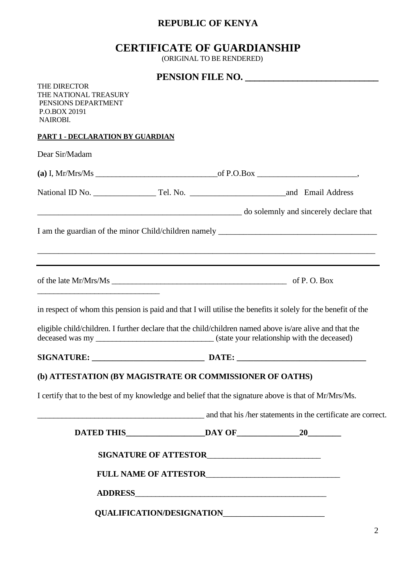## **REPUBLIC OF KENYA**

# **CERTIFICATE OF GUARDIANSHIP**

(ORIGINAL TO BE RENDERED)

|                                                                                                                        |  |  | PENSION FILE NO.                                             |
|------------------------------------------------------------------------------------------------------------------------|--|--|--------------------------------------------------------------|
| <b>THE DIRECTOR</b><br>THE NATIONAL TREASURY<br>PENSIONS DEPARTMENT<br>P.O.BOX 20191<br>NAIROBI.                       |  |  |                                                              |
| PART 1 - DECLARATION BY GUARDIAN                                                                                       |  |  |                                                              |
| Dear Sir/Madam                                                                                                         |  |  |                                                              |
|                                                                                                                        |  |  |                                                              |
|                                                                                                                        |  |  |                                                              |
| do solemnly and sincerely declare that                                                                                 |  |  |                                                              |
|                                                                                                                        |  |  |                                                              |
|                                                                                                                        |  |  |                                                              |
| ,我们也不能在这里的人,我们也不能在这里的人,我们也不能不能不能不能不能不能不能不能不能不能不能。""我们的人,我们也不能不能不能不能不能不能不能不能不能不能不                                       |  |  |                                                              |
| <u> 1988 - Johann John Harry Harry Harry Harry Harry Harry Harry Harry Harry Harry Harry Harry Harry Harry Harry H</u> |  |  |                                                              |
| in respect of whom this pension is paid and that I will utilise the benefits it solely for the benefit of the          |  |  |                                                              |
| eligible child/children. I further declare that the child/children named above is/are alive and that the               |  |  |                                                              |
|                                                                                                                        |  |  |                                                              |
| (b) ATTESTATION (BY MAGISTRATE OR COMMISSIONER OF OATHS)                                                               |  |  |                                                              |
| I certify that to the best of my knowledge and belief that the signature above is that of Mr/Mrs/Ms.                   |  |  |                                                              |
|                                                                                                                        |  |  | and that his /her statements in the certificate are correct. |
|                                                                                                                        |  |  |                                                              |
|                                                                                                                        |  |  |                                                              |
|                                                                                                                        |  |  |                                                              |
|                                                                                                                        |  |  |                                                              |
|                                                                                                                        |  |  |                                                              |
|                                                                                                                        |  |  |                                                              |
|                                                                                                                        |  |  |                                                              |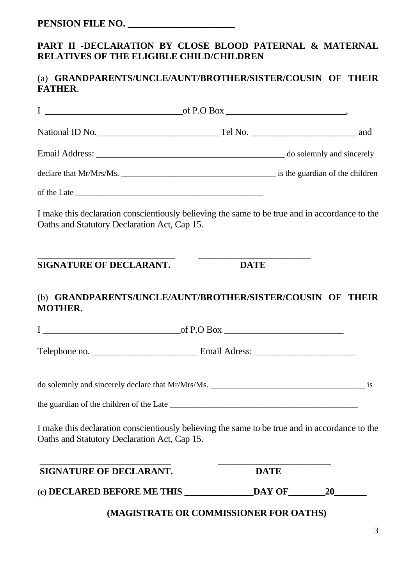### **PART II -DECLARATION BY CLOSE BLOOD PATERNAL & MATERNAL RELATIVES OF THE ELIGIBLE CHILD/CHILDREN**

#### (a) **GRANDPARENTS/UNCLE/AUNT/BROTHER/SISTER/COUSIN OF THEIR FATHER**.

| $\mathbf I$<br>of P.O Box                                                                                                                      |                                        |             |  |
|------------------------------------------------------------------------------------------------------------------------------------------------|----------------------------------------|-------------|--|
| National ID No. Tel No. The No. 2008 and 2010 Mo.                                                                                              |                                        |             |  |
|                                                                                                                                                |                                        |             |  |
|                                                                                                                                                |                                        |             |  |
|                                                                                                                                                |                                        |             |  |
| I make this declaration conscientiously believing the same to be true and in accordance to the<br>Oaths and Statutory Declaration Act, Cap 15. |                                        |             |  |
| SIGNATURE OF DECLARANT.                                                                                                                        | <b>DATE</b>                            |             |  |
| (b) GRANDPARENTS/UNCLE/AUNT/BROTHER/SISTER/COUSIN OF THEIR<br><b>MOTHER.</b>                                                                   |                                        |             |  |
|                                                                                                                                                |                                        |             |  |
|                                                                                                                                                |                                        |             |  |
|                                                                                                                                                |                                        |             |  |
|                                                                                                                                                |                                        |             |  |
| I make this declaration conscientiously believing the same to be true and in accordance to the<br>Oaths and Statutory Declaration Act, Cap 15. |                                        |             |  |
| <b>SIGNATURE OF DECLARANT.</b>                                                                                                                 |                                        | <b>DATE</b> |  |
|                                                                                                                                                |                                        |             |  |
|                                                                                                                                                | (MAGISTRATE OR COMMISSIONER FOR OATHS) |             |  |